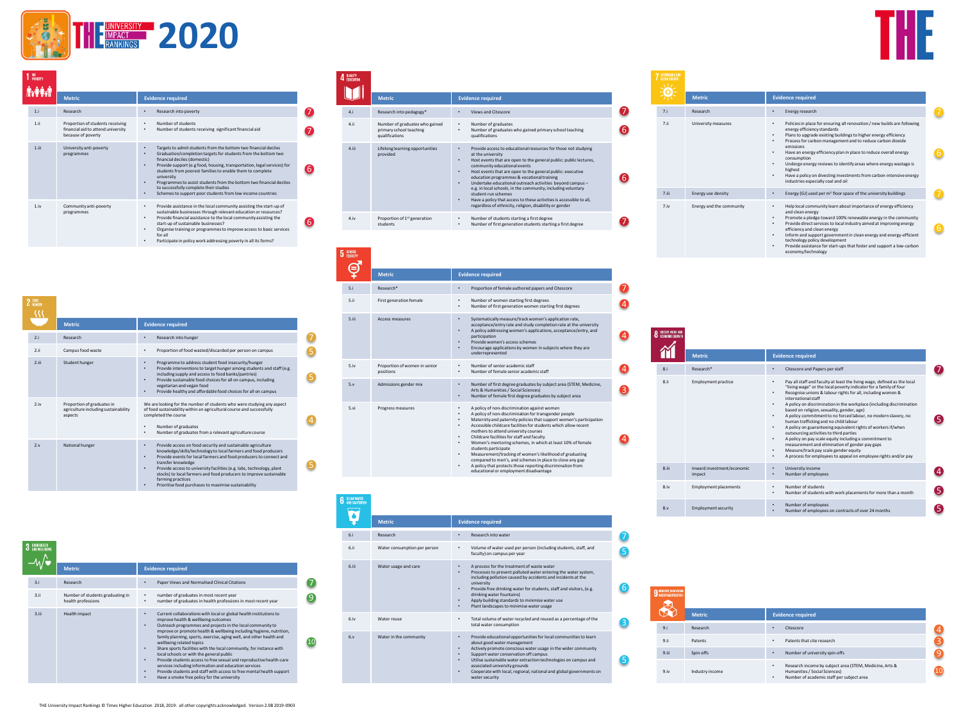

| NU<br><b>POVERTY</b> |                                                                                              |                                                                                                                                                                                                                                                                                                                                                                                                                                                                                                                                 |
|----------------------|----------------------------------------------------------------------------------------------|---------------------------------------------------------------------------------------------------------------------------------------------------------------------------------------------------------------------------------------------------------------------------------------------------------------------------------------------------------------------------------------------------------------------------------------------------------------------------------------------------------------------------------|
|                      | <b>Metric</b>                                                                                | <b>Evidence required</b>                                                                                                                                                                                                                                                                                                                                                                                                                                                                                                        |
| 1.i                  | Research                                                                                     | Research into poverty<br>٠                                                                                                                                                                                                                                                                                                                                                                                                                                                                                                      |
| 1.1i                 | Proportion of students receiving<br>financial aid to attend university<br>because of poverty | Number of students<br>٠<br>Number of students receiving significant financial aid<br>۰                                                                                                                                                                                                                                                                                                                                                                                                                                          |
| $1$ , iii            | University anti-poverty<br>programmes                                                        | Targets to admit students from the bottom two financial deciles<br>٠<br>Graduation/completion targets for students from the bottom two<br>٠<br>financial deciles (domestic)<br>Provide support (e.g food, housing, transportation, legal services) for<br>۰<br>students from poorest families to enable them to complete<br>university<br>Programmes to assist students from the bottom two financial deciles<br>٠<br>to successfully complete their studies<br>Schemes to support poor students from low income countries<br>٠ |
| 1.iv                 | Community anti-poverty<br>programmes                                                         | Provide assistance in the local community assisting the start-up of<br>٠<br>sustainable businesses through relevant education or resources?<br>Provide financial assistance to the local community assisting the<br>٠<br>start-up of sustainable businesses?<br>Organise training or programmes to improve access to basic services<br>۰<br>for all<br>Particinate in noticy work addressing poverty in all its forms?                                                                                                          |

| $2$ $^{ZERO}_{HURGER}$ |                                                                               |                                                                                                                                                                                                                                                                                                                                                                                                                                                                       |
|------------------------|-------------------------------------------------------------------------------|-----------------------------------------------------------------------------------------------------------------------------------------------------------------------------------------------------------------------------------------------------------------------------------------------------------------------------------------------------------------------------------------------------------------------------------------------------------------------|
|                        | <b>Metric</b>                                                                 | <b>Evidence required</b>                                                                                                                                                                                                                                                                                                                                                                                                                                              |
| 2.i                    | Research                                                                      | Research into hunger<br>٠                                                                                                                                                                                                                                                                                                                                                                                                                                             |
| 2.11                   | Campus food waste                                                             | Proportion of food wasted/discarded per person on campus<br>۰                                                                                                                                                                                                                                                                                                                                                                                                         |
| 2.111                  | Student hunger                                                                | Programme to address student food insecurity/hunger<br>۰<br>Provide interventions to target hunger among students and staff (e.g.<br>۰<br>including supply and access to food banks/pantries)<br>Provide sustainable food choices for all on campus, including<br>٠<br>vegetarian and vegan food<br>Provide healthy and affordable food choices for all on campus<br>۰                                                                                                |
| 2.iv                   | Proportion of graduates in<br>agriculture including sustainability<br>aspects | We are looking for the number of students who were studying any aspect<br>of food sustainability within an agricultural course and successfully<br>completed the course<br>Number of graduates<br>Number of graduates from a relevant agriculture course<br>۰                                                                                                                                                                                                         |
| 2.5 <sub>Y</sub>       | National hunger                                                               | Provide access on food security and sustainable agriculture<br>٠<br>knowledge/skills/technology to local farmers and food producers<br>Provide events for local farmers and food producers to connect and<br>٠<br>transfer knowledge<br>Provide access to university facilities (e.g. labs, technology, plant<br>٠<br>stocks) to local farmers and food producers to improve sustainable<br>farming practices<br>Prioritise food purchases to maximise sustainability |

|       | <b>Metric</b>                                          | <b>Evidence required</b>                                                                                                                                                                                                                                                                                                                                                                                                                                                                                                                                                                                                                                                                                                                   |
|-------|--------------------------------------------------------|--------------------------------------------------------------------------------------------------------------------------------------------------------------------------------------------------------------------------------------------------------------------------------------------------------------------------------------------------------------------------------------------------------------------------------------------------------------------------------------------------------------------------------------------------------------------------------------------------------------------------------------------------------------------------------------------------------------------------------------------|
| 3.i   | Research                                               | Paper Views and Normalised Clinical Citations                                                                                                                                                                                                                                                                                                                                                                                                                                                                                                                                                                                                                                                                                              |
| 3.11  | Number of students graduating in<br>health professions | number of graduates in most recent year<br>number of graduates in health professions in most recent year<br>۰                                                                                                                                                                                                                                                                                                                                                                                                                                                                                                                                                                                                                              |
| 3.iii | Health impact                                          | Current collaborations with local or global health institutions to<br>improve health & wellbeing outcomes<br>Outreach programmes and projects in the local community to<br>٠<br>improve or promote health & wellbeing including hygiene, nutrition,<br>family planning, sports, exercise, aging well, and other health and<br>wellbeing related topics<br>Share sports facilities with the local community, for instance with<br>local schools or with the general public<br>Provide students access to free sexual and reproductive health-care<br>٠<br>services including information and education services<br>Provide students and staff with access to free mental health support<br>٠<br>Have a smoke free policy for the university |

|       | <b>Metric</b>                | <b>Evidence required</b>                                                                                                                                                                                                                                                                                                                                                                                        |
|-------|------------------------------|-----------------------------------------------------------------------------------------------------------------------------------------------------------------------------------------------------------------------------------------------------------------------------------------------------------------------------------------------------------------------------------------------------------------|
| 6.i   | Research                     | Research into water<br>٠                                                                                                                                                                                                                                                                                                                                                                                        |
| 6.ii  | Water consumption per person | Volume of water used per person (including students, staff, and<br>٠<br>faculty) on campus per year                                                                                                                                                                                                                                                                                                             |
| 6.iii | Water usage and care         | A process for the treatment of waste water<br>٠<br>Processes to prevent polluted water entering the water system,<br>۰<br>including pollution caused by accidents and incidents at the<br>university<br>Provide free drinking water for students, staff and visitors, (e.g.<br>٠<br>drinking water fountains)<br>Apply building standards to minimise water use<br>Plant landscapes to minimise water usage     |
| 6.iv  | Water reuse                  | Total volume of water recycled and reused as a percentage of the<br>٠<br>total water consumption                                                                                                                                                                                                                                                                                                                |
| 6.v   | Water in the community       | Provide educational opportunities for local communities to learn<br>٠<br>about good water management<br>Actively promote conscious water usage in the wider community<br>٠<br>Support water conservation off campus<br>Utilise sustainable water extraction technologies on campus and<br>associated university grounds<br>Cooperate with local, regional, national and global governments on<br>water security |

**Metric Evidence required** 

• Number of graduates • Number of graduates who gained primary school teaching

 $\bullet$ 6

6

 $\boldsymbol{O}$ 

 $\bullet$ 4

4

4

 $\bullet$ 

 $\boldsymbol{A}$ 

• Provide access to educational resources for those not studying at the university • Host events that are open to the general public: public lectures, community educational events • Host events that are open to the general public: executive

education programmes & vocational training<br>Undertake educational outreach activities beyond campus –<br>e.g. in local schools, in the community, including voluntary<br>student-run schemes<br>Have a policy that access to these activ regardless of ethnicity, religion, disability or gender

• A policy of non-discrimination for transgender people • Maternity and paternity policies that support women's participation • Accessible childcare facilities for students which allow recent

• Childcare facilities for staff and faculty • Women's mentoring schemes, in which at least 10% of female students participate • Measurement/tracking of women's likelihood of graduating compared to men's, and schemes in place to close any gap • A policy that protects those reporting discrimination from educational or employment disadvantage

mothers to attend university courses

qualifications

4.i Research into pedagogy\* • Views and Citescore

4.ii Number of graduates who gained primary school teaching qualifications

4.iii Lifelong learning opportunities provided

4 QUALITY M

**6** GLEAN W  $\overline{\mathbf{q}}$ 

| <b>AFFORDABLE AND</b><br><b>LEAN ENERGY</b> |                          |                                                                                                                                                                                                                                                                                                                                                                                                                                                                                                                                                               |
|---------------------------------------------|--------------------------|---------------------------------------------------------------------------------------------------------------------------------------------------------------------------------------------------------------------------------------------------------------------------------------------------------------------------------------------------------------------------------------------------------------------------------------------------------------------------------------------------------------------------------------------------------------|
|                                             | <b>Metric</b>            | <b>Evidence required</b>                                                                                                                                                                                                                                                                                                                                                                                                                                                                                                                                      |
| 7.1                                         | Research                 | Energy research<br>٠                                                                                                                                                                                                                                                                                                                                                                                                                                                                                                                                          |
| 7.ii                                        | University measures      | Policies in place for ensuring all renovation / new builds are following<br>٠<br>energy efficiency standards<br>Plans to upgrade existing buildings to higher energy efficiency<br>٠<br>Process for carbon management and to reduce carbon dioxide<br>۰<br>emissions<br>Have an energy efficiency plan in place to reduce overall energy<br>۰<br>consumption<br>Undergo energy reviews to identify areas where energy wastage is<br>٠<br>highest<br>Have a policy on divesting investments from carbon-intensive energy<br>industries especially coal and oil |
| 7.iii                                       | Energy use density       | Energy (GJ) used per $m2$ floor space of the university buildings<br>٠                                                                                                                                                                                                                                                                                                                                                                                                                                                                                        |
| 7.iv                                        | Energy and the community | Help local community learn about importance of energy efficiency<br>٠<br>and clean energy<br>Promote a pledge toward 100% renewable energy in the community<br>٠<br>Provide direct services to local industry aimed at improving energy<br>٠<br>efficiency and clean energy<br>Inform and support government in clean energy and energy-efficient<br>۰<br>technology policy development<br>Provide assistance for start-ups that foster and support a low-carbon<br>٠<br>economy/technology                                                                   |

|                  | <b>Metric</b>                        | <b>Evidence required</b>                                                                                                                                                                                                                                                                                                                                                                                                                                                                                                                                                                                                                                                                                                                                                                                                                          |    |
|------------------|--------------------------------------|---------------------------------------------------------------------------------------------------------------------------------------------------------------------------------------------------------------------------------------------------------------------------------------------------------------------------------------------------------------------------------------------------------------------------------------------------------------------------------------------------------------------------------------------------------------------------------------------------------------------------------------------------------------------------------------------------------------------------------------------------------------------------------------------------------------------------------------------------|----|
| 8.1              | Research*                            | Citescore and Papers per staff<br>٠                                                                                                                                                                                                                                                                                                                                                                                                                                                                                                                                                                                                                                                                                                                                                                                                               |    |
| 8.ii             | <b>Employment practice</b>           | Pay all staff and faculty at least the living wage, defined as the local<br>٠<br>"living wage" or the local poverty indicator for a family of four<br>Recognise unions & labour rights for all, including women &<br>٠<br>international staff<br>A policy on discrimination in the workplace (including discrimination<br>٠<br>based on religion, sexuality, gender, age)<br>A policy commitment to no forced labour, no modern slavery, no<br>٠<br>human trafficking and no child labour<br>A policy on guaranteeing equivalent rights of workers if/when<br>٠<br>outsourcing activities to third parties<br>A policy on pay scale equity including a commitment to<br>٠<br>measurement and elimination of gender pay gaps<br>Measure/track pay scale gender equity<br>٠<br>A process for employees to appeal on employee rights and/or pay<br>٠ |    |
| 8.iii            | Inward investment/economic<br>impact | University income<br>Number of employees<br>٠                                                                                                                                                                                                                                                                                                                                                                                                                                                                                                                                                                                                                                                                                                                                                                                                     |    |
| 8.iv             | <b>Employment placements</b>         | Number of students<br>٠<br>Number of students with work placements for more than a month<br>٠                                                                                                                                                                                                                                                                                                                                                                                                                                                                                                                                                                                                                                                                                                                                                     | 5. |
| 8.4 <sub>Y</sub> | <b>Employment security</b>           | Number of employees<br>٠<br>Number of employees on contracts of over 24 months                                                                                                                                                                                                                                                                                                                                                                                                                                                                                                                                                                                                                                                                                                                                                                    |    |

| <b>INDUSTRY, INKOVATION</b><br>AND INFRASTRUCTURE |                 |                                                                                                                                                 |  |
|---------------------------------------------------|-----------------|-------------------------------------------------------------------------------------------------------------------------------------------------|--|
|                                                   | <b>Metric</b>   | <b>Evidence required</b>                                                                                                                        |  |
| 9.i                                               | Research        | Citescore<br>٠                                                                                                                                  |  |
| 9.ii                                              | Patents         | Patents that cite research<br>٠                                                                                                                 |  |
| 9.iii                                             | Spin-offs       | Number of university spin-offs<br>٠                                                                                                             |  |
| 9.iv                                              | Industry income | Research income by subject area (STEM, Medicine, Arts &<br>٠<br>Humanities / Social Sciences)<br>Number of academic staff per subject area<br>٠ |  |

|                             | sustainable businesses through relevant education or resources?<br>Provide financial assistance to the local community assisting the<br>٠<br>start-up of sustainable businesses?<br>Organise training or programmes to improve access to basic services | $\left[ 6 \right]$ | 4.1 <sub>V</sub> | Proportion of 1 <sup>st</sup> generation<br>students | Number of students starting a first degree<br>Number of first generation students starting a first degree                                                                                                                |
|-----------------------------|---------------------------------------------------------------------------------------------------------------------------------------------------------------------------------------------------------------------------------------------------------|--------------------|------------------|------------------------------------------------------|--------------------------------------------------------------------------------------------------------------------------------------------------------------------------------------------------------------------------|
|                             | for all<br>Participate in policy work addressing poverty in all its forms?<br>٠                                                                                                                                                                         |                    |                  |                                                      |                                                                                                                                                                                                                          |
|                             |                                                                                                                                                                                                                                                         |                    | 5 GENDER<br>8    |                                                      |                                                                                                                                                                                                                          |
|                             |                                                                                                                                                                                                                                                         |                    |                  | <b>Metric</b>                                        | <b>Evidence required</b>                                                                                                                                                                                                 |
|                             |                                                                                                                                                                                                                                                         |                    | 5.i              | Research*                                            | Proportion of female authored papers and Citescore                                                                                                                                                                       |
|                             |                                                                                                                                                                                                                                                         |                    | 5.ii             | First generation female                              | Number of women starting first degrees<br>Number of first generation women starting first degrees                                                                                                                        |
|                             | <b>Evidence required</b>                                                                                                                                                                                                                                |                    | 5.11             | Access measures                                      | Systematically measure/track women's application rate,<br>$\bullet$<br>acceptance/entry rate and study completion rate at the university<br>A policy addressing women's applications, acceptance/entry, and              |
|                             | Research into hunger<br>٠                                                                                                                                                                                                                               |                    |                  |                                                      | participation<br>Provide women's access schemes                                                                                                                                                                          |
|                             | Proportion of food wasted/discarded per person on campus<br>٠                                                                                                                                                                                           |                    |                  |                                                      | Encourage applications by women in subjects where they are<br>underrepresented                                                                                                                                           |
|                             | Programme to address student food insecurity/hunger<br>$\bullet$<br>Provide interventions to target hunger among students and staff (e.g.<br>٠<br>including supply and access to food banks/pantries)                                                   |                    | 5.iv             | Proportion of women in senior<br>positions           | Number of senior academic staff<br>Number of female senior academic staff                                                                                                                                                |
|                             | Provide sustainable food choices for all on campus, including<br>٠<br>vegetarian and vegan food<br>Provide healthy and affordable food choices for all on campus<br>$\bullet$                                                                           |                    | 5. v             | Admissions gender mix                                | Number of first degree graduates by subject area (STEM, Medicine,<br>$\bullet$<br>Arts & Humanities / Social Sciences)<br>Number of female first degree graduates by subject area                                        |
| ates in<br>g sustainability | We are looking for the number of students who were studying any aspect<br>of food sustainability within an agricultural course and successfully<br>completed the course                                                                                 |                    | 5.vi             | Progress measures                                    | A policy of non-discrimination against women<br>A policy of non-discrimination for transgender people<br>and the state of the state of the state of the state of the state of the state of the state of the state of the |